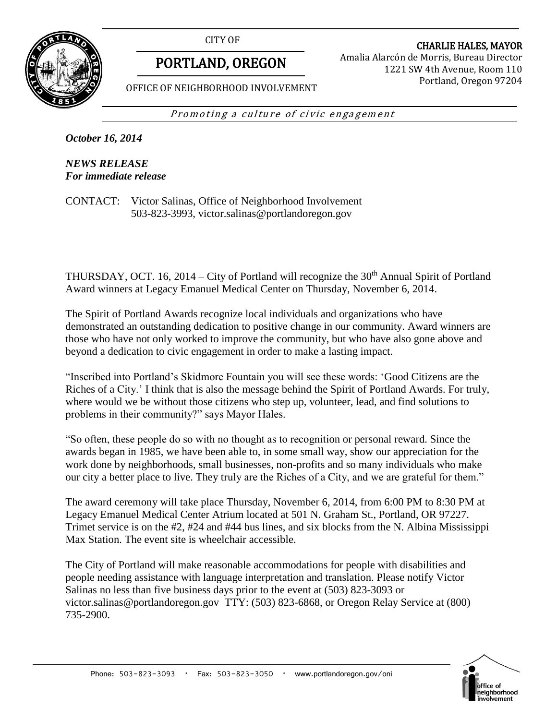CITY OF



# PORTLAND, OREGON

CHARLIE HALES, MAYOR Amalia Alarcón de Morris, Bureau Director 1221 SW 4th Avenue, Room 110 Portland, Oregon 97204

OFFICE OF NEIGHBORHOOD INVOLVEMENT

Promoting a culture of civic engagement

*October 16, 2014*

*NEWS RELEASE For immediate release*

CONTACT: Victor Salinas, Office of Neighborhood Involvement 503-823-3993, victor.salinas@portlandoregon.gov

THURSDAY, OCT. 16, 2014 – City of Portland will recognize the  $30<sup>th</sup>$  Annual Spirit of Portland Award winners at Legacy Emanuel Medical Center on Thursday, November 6, 2014.

The Spirit of Portland Awards recognize local individuals and organizations who have demonstrated an outstanding dedication to positive change in our community. Award winners are those who have not only worked to improve the community, but who have also gone above and beyond a dedication to civic engagement in order to make a lasting impact.

"Inscribed into Portland's Skidmore Fountain you will see these words: 'Good Citizens are the Riches of a City.' I think that is also the message behind the Spirit of Portland Awards. For truly, where would we be without those citizens who step up, volunteer, lead, and find solutions to problems in their community?" says Mayor Hales.

"So often, these people do so with no thought as to recognition or personal reward. Since the awards began in 1985, we have been able to, in some small way, show our appreciation for the work done by neighborhoods, small businesses, non-profits and so many individuals who make our city a better place to live. They truly are the Riches of a City, and we are grateful for them."

The award ceremony will take place Thursday, November 6, 2014, from 6:00 PM to 8:30 PM at Legacy Emanuel Medical Center Atrium located at 501 N. Graham St., Portland, OR 97227. Trimet service is on the #2, #24 and #44 bus lines, and six blocks from the N. Albina Mississippi Max Station. The event site is wheelchair accessible.

The City of Portland will make reasonable accommodations for people with disabilities and people needing assistance with language interpretation and translation. Please notify Victor Salinas no less than five business days prior to the event at (503) 823-3093 or victor.salinas@portlandoregon.gov TTY: (503) 823-6868, or Oregon Relay Service at (800) 735-2900.